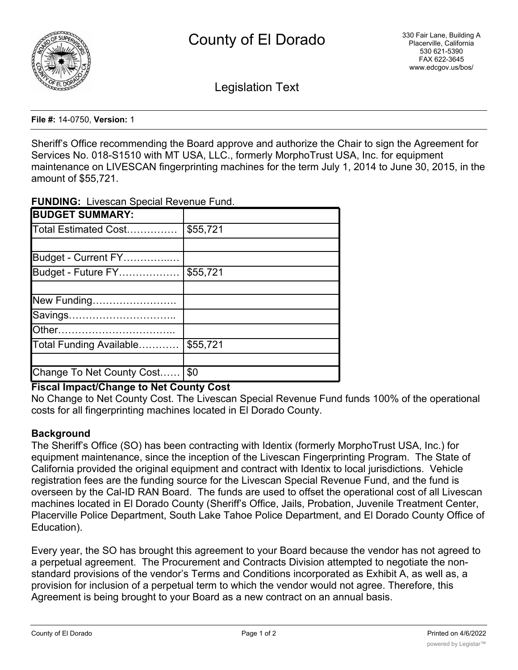

Legislation Text

**File #:** 14-0750, **Version:** 1

Sheriff's Office recommending the Board approve and authorize the Chair to sign the Agreement for Services No. 018-S1510 with MT USA, LLC., formerly MorphoTrust USA, Inc. for equipment maintenance on LIVESCAN fingerprinting machines for the term July 1, 2014 to June 30, 2015, in the amount of \$55,721.

**FUNDING:** Livescan Special Revenue Fund.

| <b>BUDGET SUMMARY:</b>    |          |
|---------------------------|----------|
| Total Estimated Cost      | \$55,721 |
|                           |          |
| Budget - Current FY       |          |
| Budget - Future FY        | \$55,721 |
|                           |          |
| New Funding               |          |
| Savings                   |          |
|                           |          |
| Total Funding Available   | \$55,721 |
|                           |          |
| Change To Net County Cost | \$0      |

## **Fiscal Impact/Change to Net County Cost**

No Change to Net County Cost. The Livescan Special Revenue Fund funds 100% of the operational costs for all fingerprinting machines located in El Dorado County.

## **Background**

The Sheriff's Office (SO) has been contracting with Identix (formerly MorphoTrust USA, Inc.) for equipment maintenance, since the inception of the Livescan Fingerprinting Program. The State of California provided the original equipment and contract with Identix to local jurisdictions. Vehicle registration fees are the funding source for the Livescan Special Revenue Fund, and the fund is overseen by the Cal-ID RAN Board. The funds are used to offset the operational cost of all Livescan machines located in El Dorado County (Sheriff's Office, Jails, Probation, Juvenile Treatment Center, Placerville Police Department, South Lake Tahoe Police Department, and El Dorado County Office of Education).

Every year, the SO has brought this agreement to your Board because the vendor has not agreed to a perpetual agreement. The Procurement and Contracts Division attempted to negotiate the nonstandard provisions of the vendor's Terms and Conditions incorporated as Exhibit A, as well as, a provision for inclusion of a perpetual term to which the vendor would not agree. Therefore, this Agreement is being brought to your Board as a new contract on an annual basis.